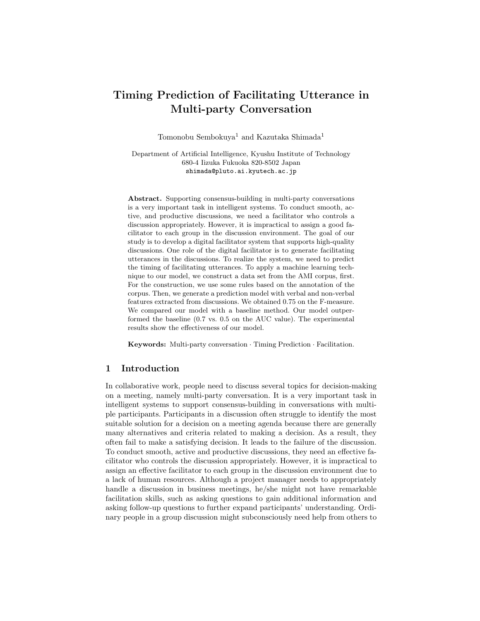# **Timing Prediction of Facilitating Utterance in Multi-party Conversation**

Tomonobu Sembokuya<sup>1</sup> and Kazutaka Shimada<sup>1</sup>

Department of Artificial Intelligence, Kyushu Institute of Technology 680-4 Iizuka Fukuoka 820-8502 Japan shimada@pluto.ai.kyutech.ac.jp

**Abstract.** Supporting consensus-building in multi-party conversations is a very important task in intelligent systems. To conduct smooth, active, and productive discussions, we need a facilitator who controls a discussion appropriately. However, it is impractical to assign a good facilitator to each group in the discussion environment. The goal of our study is to develop a digital facilitator system that supports high-quality discussions. One role of the digital facilitator is to generate facilitating utterances in the discussions. To realize the system, we need to predict the timing of facilitating utterances. To apply a machine learning technique to our model, we construct a data set from the AMI corpus, first. For the construction, we use some rules based on the annotation of the corpus. Then, we generate a prediction model with verbal and non-verbal features extracted from discussions. We obtained 0.75 on the F-measure. We compared our model with a baseline method. Our model outperformed the baseline (0.7 vs. 0.5 on the AUC value). The experimental results show the effectiveness of our model.

**Keywords:** Multi-party conversation *·* Timing Prediction *·* Facilitation.

# **1 Introduction**

In collaborative work, people need to discuss several topics for decision-making on a meeting, namely multi-party conversation. It is a very important task in intelligent systems to support consensus-building in conversations with multiple participants. Participants in a discussion often struggle to identify the most suitable solution for a decision on a meeting agenda because there are generally many alternatives and criteria related to making a decision. As a result, they often fail to make a satisfying decision. It leads to the failure of the discussion. To conduct smooth, active and productive discussions, they need an effective facilitator who controls the discussion appropriately. However, it is impractical to assign an effective facilitator to each group in the discussion environment due to a lack of human resources. Although a project manager needs to appropriately handle a discussion in business meetings, he/she might not have remarkable facilitation skills, such as asking questions to gain additional information and asking follow-up questions to further expand participants' understanding. Ordinary people in a group discussion might subconsciously need help from others to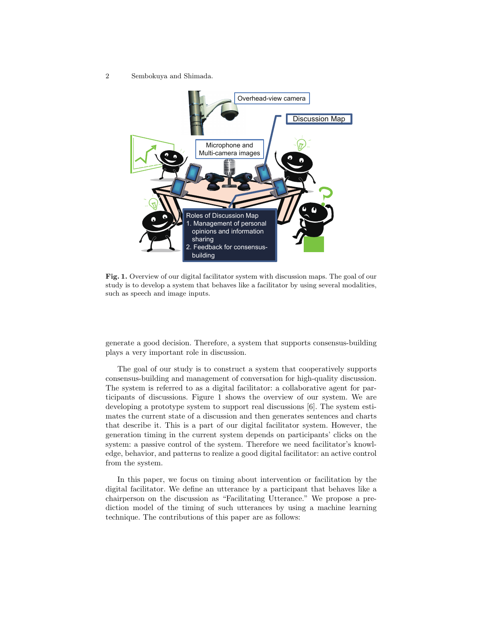2 Sembokuya and Shimada.



**Fig. 1.** Overview of our digital facilitator system with discussion maps. The goal of our study is to develop a system that behaves like a facilitator by using several modalities, such as speech and image inputs.

generate a good decision. Therefore, a system that supports consensus-building plays a very important role in discussion.

The goal of our study is to construct a system that cooperatively supports consensus-building and management of conversation for high-quality discussion. The system is referred to as a digital facilitator: a collaborative agent for participants of discussions. Figure 1 shows the overview of our system. We are developing a prototype system to support real discussions [6]. The system estimates the current state of a discussion and then generates sentences and charts that describe it. This is a part of our digital facilitator system. However, the generation timing in the current system depends on participants' clicks on the system: a passive control of the system. Therefore we need facilitator's knowledge, behavior, and patterns to realize a good digital facilitator: an active control from the system.

In this paper, we focus on timing about intervention or facilitation by the digital facilitator. We define an utterance by a participant that behaves like a chairperson on the discussion as "Facilitating Utterance." We propose a prediction model of the timing of such utterances by using a machine learning technique. The contributions of this paper are as follows: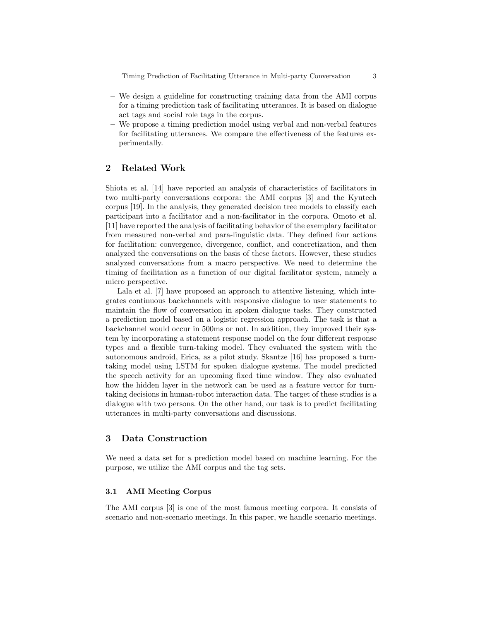Timing Prediction of Facilitating Utterance in Multi-party Conversation 3

- **–** We design a guideline for constructing training data from the AMI corpus for a timing prediction task of facilitating utterances. It is based on dialogue act tags and social role tags in the corpus.
- **–** We propose a timing prediction model using verbal and non-verbal features for facilitating utterances. We compare the effectiveness of the features experimentally.

# **2 Related Work**

Shiota et al. [14] have reported an analysis of characteristics of facilitators in two multi-party conversations corpora: the AMI corpus [3] and the Kyutech corpus [19]. In the analysis, they generated decision tree models to classify each participant into a facilitator and a non-facilitator in the corpora. Omoto et al. [11] have reported the analysis of facilitating behavior of the exemplary facilitator from measured non-verbal and para-linguistic data. They defined four actions for facilitation: convergence, divergence, conflict, and concretization, and then analyzed the conversations on the basis of these factors. However, these studies analyzed conversations from a macro perspective. We need to determine the timing of facilitation as a function of our digital facilitator system, namely a micro perspective.

Lala et al.  $\begin{bmatrix} 7 \end{bmatrix}$  have proposed an approach to attentive listening, which integrates continuous backchannels with responsive dialogue to user statements to maintain the flow of conversation in spoken dialogue tasks. They constructed a prediction model based on a logistic regression approach. The task is that a backchannel would occur in 500ms or not. In addition, they improved their system by incorporating a statement response model on the four different response types and a flexible turn-taking model. They evaluated the system with the autonomous android, Erica, as a pilot study. Skantze [16] has proposed a turntaking model using LSTM for spoken dialogue systems. The model predicted the speech activity for an upcoming fixed time window. They also evaluated how the hidden layer in the network can be used as a feature vector for turntaking decisions in human-robot interaction data. The target of these studies is a dialogue with two persons. On the other hand, our task is to predict facilitating utterances in multi-party conversations and discussions.

## **3 Data Construction**

We need a data set for a prediction model based on machine learning. For the purpose, we utilize the AMI corpus and the tag sets.

#### **3.1 AMI Meeting Corpus**

The AMI corpus [3] is one of the most famous meeting corpora. It consists of scenario and non-scenario meetings. In this paper, we handle scenario meetings.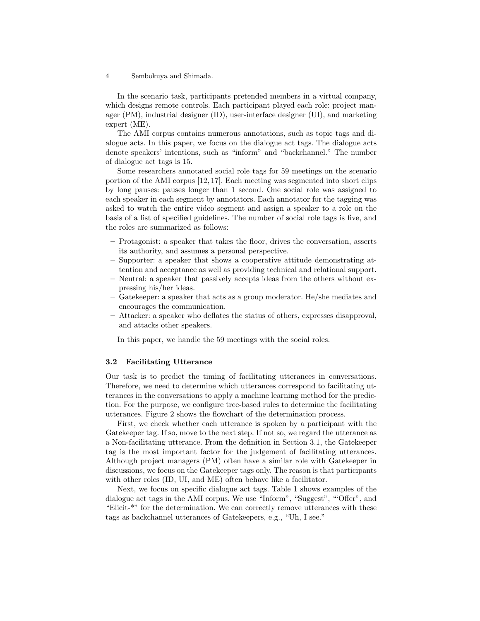In the scenario task, participants pretended members in a virtual company, which designs remote controls. Each participant played each role: project manager (PM), industrial designer (ID), user-interface designer (UI), and marketing expert (ME).

The AMI corpus contains numerous annotations, such as topic tags and dialogue acts. In this paper, we focus on the dialogue act tags. The dialogue acts denote speakers' intentions, such as "inform" and "backchannel." The number of dialogue act tags is 15.

Some researchers annotated social role tags for 59 meetings on the scenario portion of the AMI corpus [12, 17]. Each meeting was segmented into short clips by long pauses: pauses longer than 1 second. One social role was assigned to each speaker in each segment by annotators. Each annotator for the tagging was asked to watch the entire video segment and assign a speaker to a role on the basis of a list of specified guidelines. The number of social role tags is five, and the roles are summarized as follows:

- **–** Protagonist: a speaker that takes the floor, drives the conversation, asserts its authority, and assumes a personal perspective.
- **–** Supporter: a speaker that shows a cooperative attitude demonstrating attention and acceptance as well as providing technical and relational support.
- **–** Neutral: a speaker that passively accepts ideas from the others without expressing his/her ideas.
- **–** Gatekeeper: a speaker that acts as a group moderator. He/she mediates and encourages the communication.
- **–** Attacker: a speaker who deflates the status of others, expresses disapproval, and attacks other speakers.

In this paper, we handle the 59 meetings with the social roles.

#### **3.2 Facilitating Utterance**

Our task is to predict the timing of facilitating utterances in conversations. Therefore, we need to determine which utterances correspond to facilitating utterances in the conversations to apply a machine learning method for the prediction. For the purpose, we configure tree-based rules to determine the facilitating utterances. Figure 2 shows the flowchart of the determination process.

First, we check whether each utterance is spoken by a participant with the Gatekeeper tag. If so, move to the next step. If not so, we regard the utterance as a Non-facilitating utterance. From the definition in Section 3.1, the Gatekeeper tag is the most important factor for the judgement of facilitating utterances. Although project managers (PM) often have a similar role with Gatekeeper in discussions, we focus on the Gatekeeper tags only. The reason is that participants with other roles (ID, UI, and ME) often behave like a facilitator.

Next, we focus on specific dialogue act tags. Table 1 shows examples of the dialogue act tags in the AMI corpus. We use "Inform", "Suggest", "'Offer", and "Elicit-\*" for the determination. We can correctly remove utterances with these tags as backchannel utterances of Gatekeepers, e.g., "Uh, I see."

<sup>4</sup> Sembokuya and Shimada.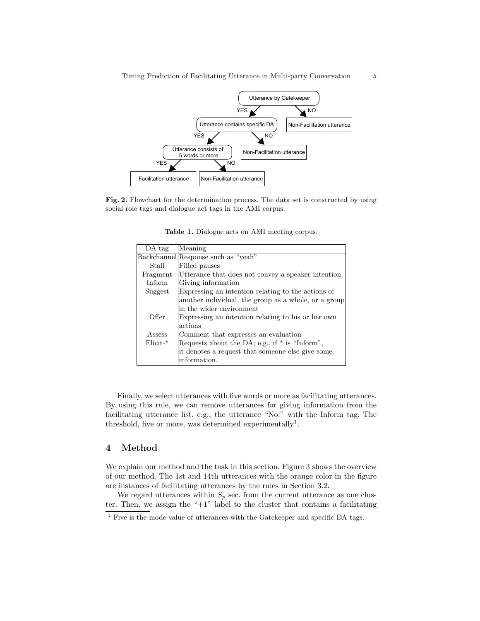

**Fig. 2.** Flowchart for the determination process. The data set is constructed by using social role tags and dialogue act tags in the AMI corpus.

|                                                                | DA tag   | Meaning                                              |  |
|----------------------------------------------------------------|----------|------------------------------------------------------|--|
|                                                                |          | Backchannel Response such as "yeah"                  |  |
|                                                                | Stall    | Filled pauses                                        |  |
|                                                                | Fragment | Utterance that does not convey a speaker intention   |  |
|                                                                | Inform   | Giving information                                   |  |
|                                                                | Suggest  | Expressing an intention relating to the actions of   |  |
|                                                                |          | another individual, the group as a whole, or a group |  |
|                                                                |          | in the wider environment                             |  |
|                                                                | Offer    | Expressing an intention relating to his or her own   |  |
|                                                                |          | actions                                              |  |
|                                                                | Assess   | Comment that expresses an evaluation                 |  |
| $Elicit-*$<br>Requests about the DA; e.g., if $*$ is "Inform", |          |                                                      |  |
|                                                                |          | it denotes a request that someone else give some     |  |
|                                                                |          | information.                                         |  |

**Table 1.** Dialogue acts on AMI meeting corpus.

Finally, we select utterances with five words or more as facilitating utterances. By using this rule, we can remove utterances for giving information from the facilitating utterance list, e.g., the utterance "No." with the Inform tag. The threshold, five or more, was determined experimentally<sup>1</sup>.

# **4 Method**

We explain our method and the task in this section. Figure 3 shows the overview of our method. The 1st and 14th utterances with the orange color in the figure are instances of facilitating utterances by the rules in Section 3.2.

We regard utterances within  $S_p$  sec. from the current utterance as one cluster. Then, we assign the "+1" label to the cluster that contains a facilitating

 $^{\rm 1}$  Five is the mode value of utterances with the Gatekeeper and specific DA tags.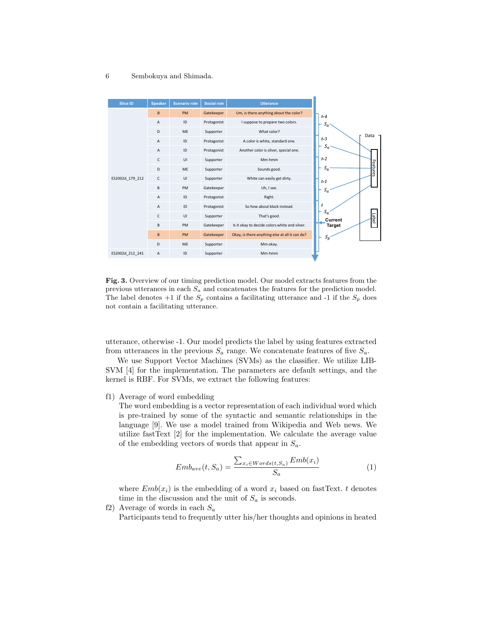

**Fig. 3.** Overview of our timing prediction model. Our model extracts features from the previous utterances in each *S<sup>a</sup>* and concatenates the features for the prediction model. The label denotes  $+1$  if the  $S_p$  contains a facilitating utterance and  $-1$  if the  $S_p$  does not contain a facilitating utterance.

utterance, otherwise -1. Our model predicts the label by using features extracted from utterances in the previous  $S_a$  range. We concatenate features of five  $S_a$ .

We use Support Vector Machines (SVMs) as the classifier. We utilize LIB-SVM [4] for the implementation. The parameters are default settings, and the kernel is RBF. For SVMs, we extract the following features:

f1) Average of word embedding

The word embedding is a vector representation of each individual word which is pre-trained by some of the syntactic and semantic relationships in the language [9]. We use a model trained from Wikipedia and Web news. We utilize fastText [2] for the implementation. We calculate the average value of the embedding vectors of words that appear in *Sa*.

$$
Emb_{ave}(t, S_a) = \frac{\sum_{x_i \in Words(t, S_a)} Emb(x_i)}{S_a}
$$
\n<sup>(1)</sup>

where  $Emb(x_i)$  is the embedding of a word  $x_i$  based on fastText. *t* denotes time in the discussion and the unit of  $S_a$  is seconds.

f2) Average of words in each *S<sup>a</sup>*

Participants tend to frequently utter his/her thoughts and opinions in heated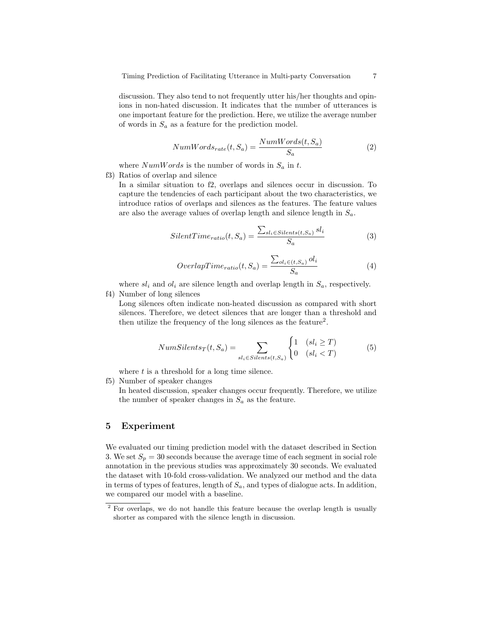discussion. They also tend to not frequently utter his/her thoughts and opinions in non-hated discussion. It indicates that the number of utterances is one important feature for the prediction. Here, we utilize the average number of words in *S<sup>a</sup>* as a feature for the prediction model.

$$
NumWords_{rate}(t, S_a) = \frac{NumWords(t, S_a)}{S_a}
$$
\n<sup>(2)</sup>

where  $NumWords$  is the number of words in  $S_a$  in  $t$ .

- f3) Ratios of overlap and silence
	- In a similar situation to f2, overlaps and silences occur in discussion. To capture the tendencies of each participant about the two characteristics, we introduce ratios of overlaps and silences as the features. The feature values are also the average values of overlap length and silence length in *Sa*.

$$
SilentTime_{ratio}(t, S_a) = \frac{\sum_{sl_i \in Silents(t, S_a)} sl_i}{S_a}
$$
\n(3)

$$
OverlapTime_{ratio}(t, S_a) = \frac{\sum_{ol_i \in (t, S_a)} ol_i}{S_a}
$$
\n
$$
(4)
$$

where  $sl_i$  and  $ol_i$  are silence length and overlap length in  $S_a$ , respectively. f4) Number of long silences

Long silences often indicate non-heated discussion as compared with short silences. Therefore, we detect silences that are longer than a threshold and then utilize the frequency of the long silences as the feature<sup>2</sup>.

$$
NumSilents_T(t, S_a) = \sum_{sl_i \in Silents(t, S_a)} \begin{cases} 1 & (sl_i \ge T) \\ 0 & (sl_i < T) \end{cases} \tag{5}
$$

where *t* is a threshold for a long time silence.

f5) Number of speaker changes

In heated discussion, speaker changes occur frequently. Therefore, we utilize the number of speaker changes in  $S_a$  as the feature.

# **5 Experiment**

We evaluated our timing prediction model with the dataset described in Section 3. We set  $S_p = 30$  seconds because the average time of each segment in social role annotation in the previous studies was approximately 30 seconds. We evaluated the dataset with 10-fold cross-validation. We analyzed our method and the data in terms of types of features, length of *Sa*, and types of dialogue acts. In addition, we compared our model with a baseline.

<sup>&</sup>lt;sup>2</sup> For overlaps, we do not handle this feature because the overlap length is usually shorter as compared with the silence length in discussion.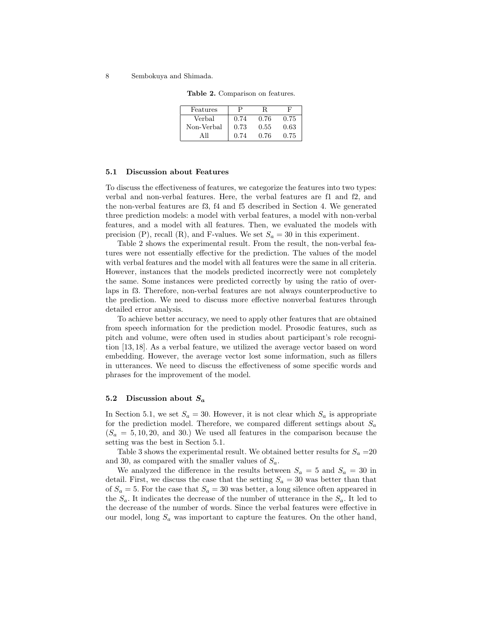8 Sembokuya and Shimada.

**Table 2.** Comparison on features.

| Features   |      |      |      |
|------------|------|------|------|
| Verbal     | 0.74 | 0.76 | 0.75 |
| Non-Verbal | 0.73 | 0.55 | 0.63 |
|            | 0.74 | 0.76 | 0.75 |

#### **5.1 Discussion about Features**

To discuss the effectiveness of features, we categorize the features into two types: verbal and non-verbal features. Here, the verbal features are f1 and f2, and the non-verbal features are f3, f4 and f5 described in Section 4. We generated three prediction models: a model with verbal features, a model with non-verbal features, and a model with all features. Then, we evaluated the models with precision (P), recall (R), and F-values. We set  $S_a = 30$  in this experiment.

Table 2 shows the experimental result. From the result, the non-verbal features were not essentially effective for the prediction. The values of the model with verbal features and the model with all features were the same in all criteria. However, instances that the models predicted incorrectly were not completely the same. Some instances were predicted correctly by using the ratio of overlaps in f3. Therefore, non-verbal features are not always counterproductive to the prediction. We need to discuss more effective nonverbal features through detailed error analysis.

To achieve better accuracy, we need to apply other features that are obtained from speech information for the prediction model. Prosodic features, such as pitch and volume, were often used in studies about participant's role recognition [13, 18]. As a verbal feature, we utilized the average vector based on word embedding. However, the average vector lost some information, such as fillers in utterances. We need to discuss the effectiveness of some specific words and phrases for the improvement of the model.

#### **5.2 Discussion about** *S<sup>a</sup>*

In Section 5.1, we set  $S_a = 30$ . However, it is not clear which  $S_a$  is appropriate for the prediction model. Therefore, we compared different settings about  $S_a$  $(S_a = 5, 10, 20, \text{ and } 30.)$  We used all features in the comparison because the setting was the best in Section 5.1.

Table 3 shows the experimental result. We obtained better results for  $S_a = 20$ and 30, as compared with the smaller values of *Sa*.

We analyzed the difference in the results between  $S_a = 5$  and  $S_a = 30$  in detail. First, we discuss the case that the setting  $S_a = 30$  was better than that of  $S_a = 5$ . For the case that  $S_a = 30$  was better, a long silence often appeared in the  $S_a$ . It indicates the decrease of the number of utterance in the  $S_a$ . It led to the decrease of the number of words. Since the verbal features were effective in our model, long *S<sup>a</sup>* was important to capture the features. On the other hand,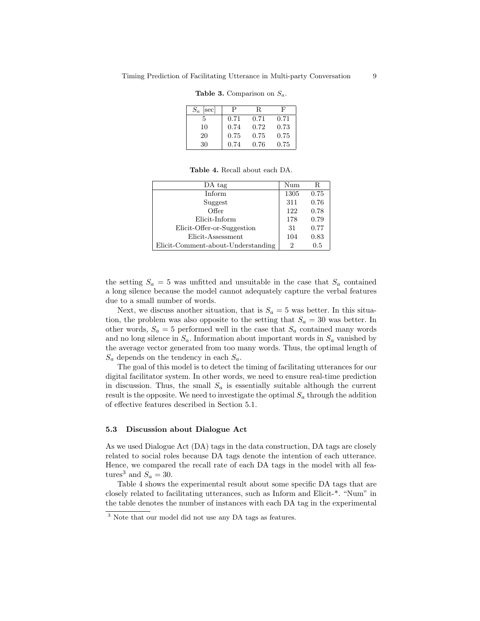**Table 3.** Comparison on *Sa*.

| $S_a$<br>sec | Р    | R.   | F    |
|--------------|------|------|------|
| 5            | 0.71 | 0.71 | 0.71 |
| 10           | 0.74 | 0.72 | 0.73 |
| 20           | 0.75 | 0.75 | 0.75 |
| 30           | 0.74 | 0.76 | 0.75 |

**Table 4.** Recall about each DA.

| DA tag                             | Num  |      |
|------------------------------------|------|------|
| Inform                             | 1305 | 0.75 |
| Suggest                            | 311  | 0.76 |
| Offer                              | 122  | 0.78 |
| Elicit-Inform                      | 178  | 0.79 |
| Elicit-Offer-or-Suggestion         | 31   | 0.77 |
| Elicit-Assessment                  | 104  | 0.83 |
| Elicit-Comment-about-Understanding | 2    | 0.5  |

the setting  $S_a = 5$  was unfitted and unsuitable in the case that  $S_a$  contained a long silence because the model cannot adequately capture the verbal features due to a small number of words.

Next, we discuss another situation, that is  $S_a = 5$  was better. In this situation, the problem was also opposite to the setting that  $S_a = 30$  was better. In other words,  $S_a = 5$  performed well in the case that  $S_a$  contained many words and no long silence in  $S_a$ . Information about important words in  $S_a$  vanished by the average vector generated from too many words. Thus, the optimal length of  $S_a$  depends on the tendency in each  $S_a$ .

The goal of this model is to detect the timing of facilitating utterances for our digital facilitator system. In other words, we need to ensure real-time prediction in discussion. Thus, the small  $S_a$  is essentially suitable although the current result is the opposite. We need to investigate the optimal *S<sup>a</sup>* through the addition of effective features described in Section 5.1.

#### **5.3 Discussion about Dialogue Act**

As we used Dialogue Act (DA) tags in the data construction, DA tags are closely related to social roles because DA tags denote the intention of each utterance. Hence, we compared the recall rate of each DA tags in the model with all features<sup>3</sup> and  $S_a = 30$ .

Table 4 shows the experimental result about some specific DA tags that are closely related to facilitating utterances, such as Inform and Elicit-\*. "Num" in the table denotes the number of instances with each DA tag in the experimental

<sup>3</sup> Note that our model did not use any DA tags as features.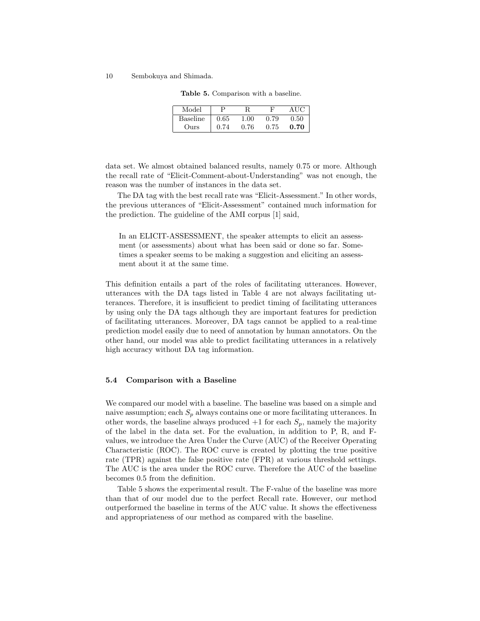#### 10 Sembokuya and Shimada.

| Table 5. Comparison with a baseline. |  |    |     |
|--------------------------------------|--|----|-----|
|                                      |  |    |     |
| Model                                |  | F. | AUC |

| Model           |      |      |      | AUC  |
|-----------------|------|------|------|------|
| <b>Baseline</b> | 0.65 | 1.00 | 0.79 | 0.50 |
| Ours            | 0.74 | 0.76 | 0.75 | 0.70 |

data set. We almost obtained balanced results, namely 0.75 or more. Although the recall rate of "Elicit-Comment-about-Understanding" was not enough, the reason was the number of instances in the data set.

The DA tag with the best recall rate was "Elicit-Assessment." In other words, the previous utterances of "Elicit-Assessment" contained much information for the prediction. The guideline of the AMI corpus [1] said,

In an ELICIT-ASSESSMENT, the speaker attempts to elicit an assessment (or assessments) about what has been said or done so far. Sometimes a speaker seems to be making a suggestion and eliciting an assessment about it at the same time.

This definition entails a part of the roles of facilitating utterances. However, utterances with the DA tags listed in Table 4 are not always facilitating utterances. Therefore, it is insufficient to predict timing of facilitating utterances by using only the DA tags although they are important features for prediction of facilitating utterances. Moreover, DA tags cannot be applied to a real-time prediction model easily due to need of annotation by human annotators. On the other hand, our model was able to predict facilitating utterances in a relatively high accuracy without DA tag information.

#### **5.4 Comparison with a Baseline**

We compared our model with a baseline. The baseline was based on a simple and naive assumption; each *S<sup>p</sup>* always contains one or more facilitating utterances. In other words, the baseline always produced  $+1$  for each  $S_p$ , namely the majority of the label in the data set. For the evaluation, in addition to P, R, and Fvalues, we introduce the Area Under the Curve (AUC) of the Receiver Operating Characteristic (ROC). The ROC curve is created by plotting the true positive rate (TPR) against the false positive rate (FPR) at various threshold settings. The AUC is the area under the ROC curve. Therefore the AUC of the baseline becomes 0.5 from the definition.

Table 5 shows the experimental result. The F-value of the baseline was more than that of our model due to the perfect Recall rate. However, our method outperformed the baseline in terms of the AUC value. It shows the effectiveness and appropriateness of our method as compared with the baseline.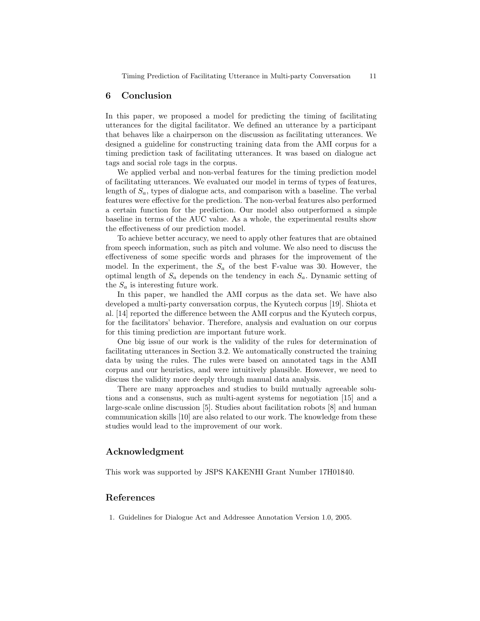### **6 Conclusion**

In this paper, we proposed a model for predicting the timing of facilitating utterances for the digital facilitator. We defined an utterance by a participant that behaves like a chairperson on the discussion as facilitating utterances. We designed a guideline for constructing training data from the AMI corpus for a timing prediction task of facilitating utterances. It was based on dialogue act tags and social role tags in the corpus.

We applied verbal and non-verbal features for the timing prediction model of facilitating utterances. We evaluated our model in terms of types of features, length of *Sa*, types of dialogue acts, and comparison with a baseline. The verbal features were effective for the prediction. The non-verbal features also performed a certain function for the prediction. Our model also outperformed a simple baseline in terms of the AUC value. As a whole, the experimental results show the effectiveness of our prediction model.

To achieve better accuracy, we need to apply other features that are obtained from speech information, such as pitch and volume. We also need to discuss the effectiveness of some specific words and phrases for the improvement of the model. In the experiment, the  $S_a$  of the best F-value was 30. However, the optimal length of  $S_a$  depends on the tendency in each  $S_a$ . Dynamic setting of the  $S_a$  is interesting future work.

In this paper, we handled the AMI corpus as the data set. We have also developed a multi-party conversation corpus, the Kyutech corpus [19]. Shiota et al. [14] reported the difference between the AMI corpus and the Kyutech corpus, for the facilitators' behavior. Therefore, analysis and evaluation on our corpus for this timing prediction are important future work.

One big issue of our work is the validity of the rules for determination of facilitating utterances in Section 3.2. We automatically constructed the training data by using the rules. The rules were based on annotated tags in the AMI corpus and our heuristics, and were intuitively plausible. However, we need to discuss the validity more deeply through manual data analysis.

There are many approaches and studies to build mutually agreeable solutions and a consensus, such as multi-agent systems for negotiation [15] and a large-scale online discussion [5]. Studies about facilitation robots [8] and human communication skills [10] are also related to our work. The knowledge from these studies would lead to the improvement of our work.

# **Acknowledgment**

This work was supported by JSPS KAKENHI Grant Number 17H01840.

# **References**

1. Guidelines for Dialogue Act and Addressee Annotation Version 1.0, 2005.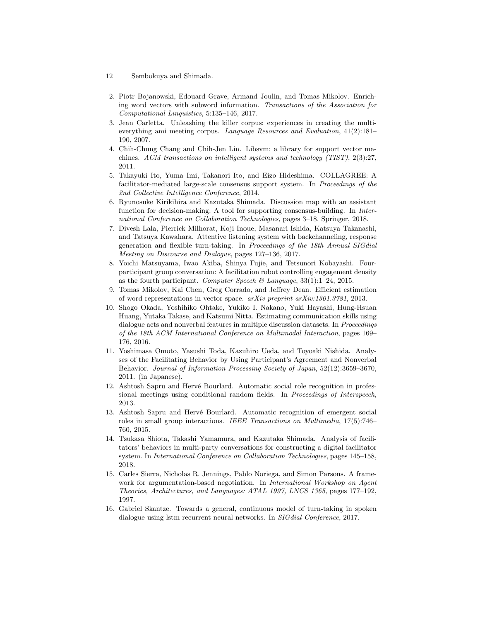- 12 Sembokuya and Shimada.
- 2. Piotr Bojanowski, Edouard Grave, Armand Joulin, and Tomas Mikolov. Enriching word vectors with subword information. *Transactions of the Association for Computational Linguistics*, 5:135–146, 2017.
- 3. Jean Carletta. Unleashing the killer corpus: experiences in creating the multieverything ami meeting corpus. *Language Resources and Evaluation*, 41(2):181– 190, 2007.
- 4. Chih-Chung Chang and Chih-Jen Lin. Libsvm: a library for support vector machines. *ACM transactions on intelligent systems and technology (TIST)*, 2(3):27, 2011.
- 5. Takayuki Ito, Yuma Imi, Takanori Ito, and Eizo Hideshima. COLLAGREE: A facilitator-mediated large-scale consensus support system. In *Proceedings of the 2nd Collective Intelligence Conference*, 2014.
- 6. Ryunosuke Kirikihira and Kazutaka Shimada. Discussion map with an assistant function for decision-making: A tool for supporting consensus-building. In *International Conference on Collaboration Technologies*, pages 3–18. Springer, 2018.
- 7. Divesh Lala, Pierrick Milhorat, Koji Inoue, Masanari Ishida, Katsuya Takanashi, and Tatsuya Kawahara. Attentive listening system with backchanneling, response generation and flexible turn-taking. In *Proceedings of the 18th Annual SIGdial Meeting on Discourse and Dialogue*, pages 127–136, 2017.
- 8. Yoichi Matsuyama, Iwao Akiba, Shinya Fujie, and Tetsunori Kobayashi. Fourparticipant group conversation: A facilitation robot controlling engagement density as the fourth participant. *Computer Speech & Language*, 33(1):1–24, 2015.
- 9. Tomas Mikolov, Kai Chen, Greg Corrado, and Jeffrey Dean. Efficient estimation of word representations in vector space. *arXiv preprint arXiv:1301.3781*, 2013.
- 10. Shogo Okada, Yoshihiko Ohtake, Yukiko I. Nakano, Yuki Hayashi, Hung-Hsuan Huang, Yutaka Takase, and Katsumi Nitta. Estimating communication skills using dialogue acts and nonverbal features in multiple discussion datasets. In *Proceedings of the 18th ACM International Conference on Multimodal Interaction*, pages 169– 176, 2016.
- 11. Yoshimasa Omoto, Yasushi Toda, Kazuhiro Ueda, and Toyoaki Nishida. Analyses of the Facilitating Behavior by Using Participant's Agreement and Nonverbal Behavior. *Journal of Information Processing Society of Japan*, 52(12):3659–3670, 2011. (in Japanese).
- 12. Ashtosh Sapru and Hervé Bourlard. Automatic social role recognition in professional meetings using conditional random fields. In *Proceedings of Interspeech*, 2013.
- 13. Ashtosh Sapru and Hervé Bourlard. Automatic recognition of emergent social roles in small group interactions. *IEEE Transactions on Multimedia*, 17(5):746– 760, 2015.
- 14. Tsukasa Shiota, Takashi Yamamura, and Kazutaka Shimada. Analysis of facilitators' behaviors in multi-party conversations for constructing a digital facilitator system. In *International Conference on Collaboration Technologies*, pages 145–158, 2018.
- 15. Carles Sierra, Nicholas R. Jennings, Pablo Noriega, and Simon Parsons. A framework for argumentation-based negotiation. In *International Workshop on Agent Theories, Architectures, and Languages: ATAL 1997, LNCS 1365*, pages 177–192, 1997.
- 16. Gabriel Skantze. Towards a general, continuous model of turn-taking in spoken dialogue using lstm recurrent neural networks. In *SIGdial Conference*, 2017.